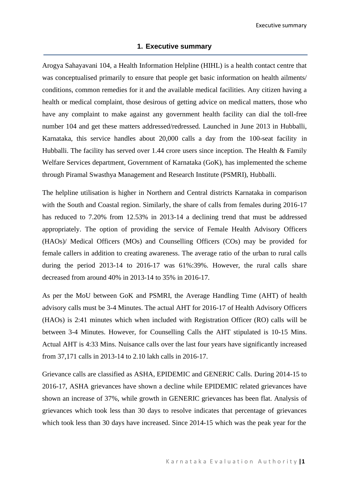Executive summary

## **1. Executive summary**

Arogya Sahayavani 104, a Health Information Helpline (HIHL) is a health contact centre that was conceptualised primarily to ensure that people get basic information on health ailments/ conditions, common remedies for it and the available medical facilities. Any citizen having a health or medical complaint, those desirous of getting advice on medical matters, those who have any complaint to make against any government health facility can dial the toll-free number 104 and get these matters addressed/redressed. Launched in June 2013 in Hubballi, Karnataka, this service handles about 20,000 calls a day from the 100-seat facility in Hubballi. The facility has served over 1.44 crore users since inception. The Health & Family Welfare Services department, Government of Karnataka (GoK), has implemented the scheme through Piramal Swasthya Management and Research Institute (PSMRI), Hubballi.

The helpline utilisation is higher in Northern and Central districts Karnataka in comparison with the South and Coastal region. Similarly, the share of calls from females during 2016-17 has reduced to 7.20% from 12.53% in 2013-14 a declining trend that must be addressed appropriately. The option of providing the service of Female Health Advisory Officers (HAOs)/ Medical Officers (MOs) and Counselling Officers (COs) may be provided for female callers in addition to creating awareness. The average ratio of the urban to rural calls during the period 2013-14 to 2016-17 was 61%:39%. However, the rural calls share decreased from around 40% in 2013-14 to 35% in 2016-17.

As per the MoU between GoK and PSMRI, the Average Handling Time (AHT) of health advisory calls must be 3-4 Minutes. The actual AHT for 2016-17 of Health Advisory Officers (HAOs) is 2:41 minutes which when included with Registration Officer (RO) calls will be between 3-4 Minutes. However, for Counselling Calls the AHT stipulated is 10-15 Mins. Actual AHT is 4:33 Mins. Nuisance calls over the last four years have significantly increased from 37,171 calls in 2013-14 to 2.10 lakh calls in 2016-17.

Grievance calls are classified as ASHA, EPIDEMIC and GENERIC Calls. During 2014-15 to 2016-17, ASHA grievances have shown a decline while EPIDEMIC related grievances have shown an increase of 37%, while growth in GENERIC grievances has been flat. Analysis of grievances which took less than 30 days to resolve indicates that percentage of grievances which took less than 30 days have increased. Since 2014-15 which was the peak year for the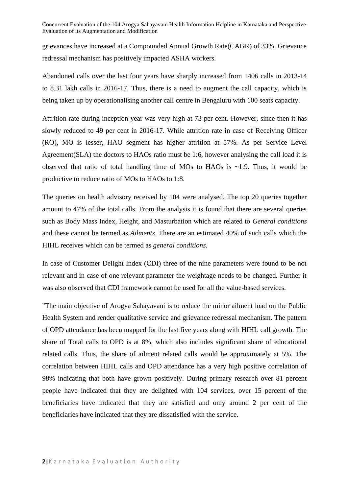Concurrent Evaluation of the 104 Arogya Sahayavani Health Information Helpline in Karnataka and Perspective Evaluation of its Augmentation and Modification

grievances have increased at a Compounded Annual Growth Rate(CAGR) of 33%. Grievance redressal mechanism has positively impacted ASHA workers.

Abandoned calls over the last four years have sharply increased from 1406 calls in 2013-14 to 8.31 lakh calls in 2016-17. Thus, there is a need to augment the call capacity, which is being taken up by operationalising another call centre in Bengaluru with 100 seats capacity.

Attrition rate during inception year was very high at 73 per cent. However, since then it has slowly reduced to 49 per cent in 2016-17. While attrition rate in case of Receiving Officer (RO), MO is lesser, HAO segment has higher attrition at 57%. As per Service Level Agreement(SLA) the doctors to HAOs ratio must be 1:6, however analysing the call load it is observed that ratio of total handling time of MOs to HAOs is ~1:9. Thus, it would be productive to reduce ratio of MOs to HAOs to 1:8.

The queries on health advisory received by 104 were analysed. The top 20 queries together amount to 47% of the total calls. From the analysis it is found that there are several queries such as Body Mass Index, Height, and Masturbation which are related to *General conditions* and these cannot be termed as *Ailments*. There are an estimated 40% of such calls which the HIHL receives which can be termed as *general conditions.*

In case of Customer Delight Index (CDI) three of the nine parameters were found to be not relevant and in case of one relevant parameter the weightage needs to be changed. Further it was also observed that CDI framework cannot be used for all the value-based services.

"The main objective of Arogya Sahayavani is to reduce the minor ailment load on the Public Health System and render qualitative service and grievance redressal mechanism. The pattern of OPD attendance has been mapped for the last five years along with HIHL call growth. The share of Total calls to OPD is at 8%, which also includes significant share of educational related calls. Thus, the share of ailment related calls would be approximately at 5%. The correlation between HIHL calls and OPD attendance has a very high positive correlation of 98% indicating that both have grown positively. During primary research over 81 percent people have indicated that they are delighted with 104 services, over 15 percent of the beneficiaries have indicated that they are satisfied and only around 2 per cent of the beneficiaries have indicated that they are dissatisfied with the service.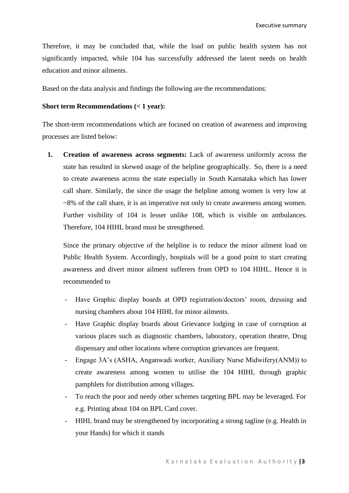Therefore, it may be concluded that, while the load on public health system has not significantly impacted, while 104 has successfully addressed the latent needs on health education and minor ailments.

Based on the data analysis and findings the following are the recommendations:

## **Short term Recommendations (< 1 year):**

The short-term recommendations which are focused on creation of awareness and improving processes are listed below:

**1. Creation of awareness across segments:** Lack of awareness uniformly across the state has resulted in skewed usage of the helpline geographically. So, there is a need to create awareness across the state especially in South Karnataka which has lower call share. Similarly, the since the usage the helpline among women is very low at ~8% of the call share, it is an imperative not only to create awareness among women. Further visibility of 104 is lesser unlike 108, which is visible on ambulances. Therefore, 104 HIHL brand must be strengthened.

Since the primary objective of the helpline is to reduce the minor ailment load on Public Health System. Accordingly, hospitals will be a good point to start creating awareness and divert minor ailment sufferers from OPD to 104 HIHL. Hence it is recommended to

- Have Graphic display boards at OPD registration/doctors' room, dressing and nursing chambers about 104 HIHL for minor ailments.
- Have Graphic display boards about Grievance lodging in case of corruption at various places such as diagnostic chambers, laboratory, operation theatre, Drug dispensary and other locations where corruption grievances are frequent.
- Engage 3A's (ASHA, Anganwadi worker, Auxiliary Nurse Midwifery(ANM)) to create awareness among women to utilise the 104 HIHL through graphic pamphlets for distribution among villages.
- To reach the poor and needy other schemes targeting BPL may be leveraged. For e.g. Printing about 104 on BPL Card cover.
- HIHL brand may be strengthened by incorporating a strong tagline (e.g. Health in your Hands) for which it stands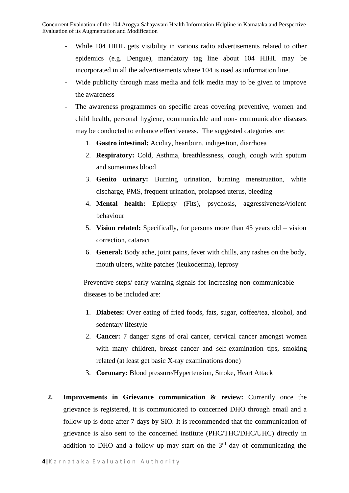Concurrent Evaluation of the 104 Arogya Sahayavani Health Information Helpline in Karnataka and Perspective Evaluation of its Augmentation and Modification

- While 104 HIHL gets visibility in various radio advertisements related to other epidemics (e.g. Dengue), mandatory tag line about 104 HIHL may be incorporated in all the advertisements where 104 is used as information line.
- Wide publicity through mass media and folk media may to be given to improve the awareness
- The awareness programmes on specific areas covering preventive, women and child health, personal hygiene, communicable and non- communicable diseases may be conducted to enhance effectiveness. The suggested categories are:
	- 1. **Gastro intestinal:** Acidity, heartburn, indigestion, diarrhoea
	- 2. **Respiratory:** Cold, Asthma, breathlessness, cough, cough with sputum and sometimes blood
	- 3. **Genito urinary:** Burning urination, burning menstruation, white discharge, PMS, frequent urination, prolapsed uterus, bleeding
	- 4. **Mental health:** Epilepsy (Fits), psychosis, aggressiveness/violent behaviour
	- 5. **Vision related:** Specifically, for persons more than 45 years old vision correction, cataract
	- 6. **General:** Body ache, joint pains, fever with chills, any rashes on the body, mouth ulcers, white patches (leukoderma), leprosy

Preventive steps/ early warning signals for increasing non-communicable diseases to be included are:

- 1. **Diabetes:** Over eating of fried foods, fats, sugar, coffee/tea, alcohol, and sedentary lifestyle
- 2. **Cancer:** 7 danger signs of oral cancer, cervical cancer amongst women with many children, breast cancer and self-examination tips, smoking related (at least get basic X-ray examinations done)
- 3. **Coronary:** Blood pressure/Hypertension, Stroke, Heart Attack
- **2. Improvements in Grievance communication & review:** Currently once the grievance is registered, it is communicated to concerned DHO through email and a follow-up is done after 7 days by SIO. It is recommended that the communication of grievance is also sent to the concerned institute (PHC/THC/DHC/UHC) directly in addition to DHO and a follow up may start on the  $3<sup>rd</sup>$  day of communicating the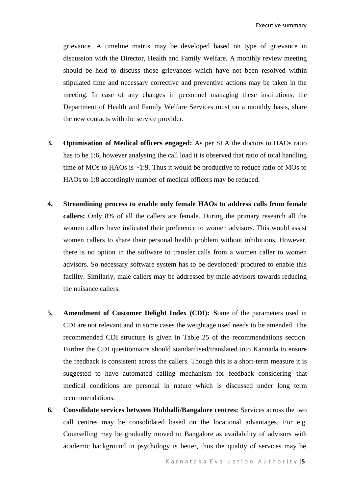grievance. A timeline matrix may be developed based on type of grievance in discussion with the Director, Health and Family Welfare. A monthly review meeting should be held to discuss those grievances which have not been resolved within stipulated time and necessary corrective and preventive actions may be taken in the meeting. In case of any changes in personnel managing these institutions, the Department of Health and Family Welfare Services must on a monthly basis, share the new contacts with the service provider.

- **3. Optimisation of Medical officers engaged:** As per SLA the doctors to HAOs ratio has to be 1:6, however analysing the call load it is observed that ratio of total handling time of MOs to HAOs is ~1:9. Thus it would be productive to reduce ratio of MOs to HAOs to 1:8 accordingly number of medical officers may be reduced.
- **4. Streamlining process to enable only female HAOs to address calls from female callers:** Only 8% of all the callers are female. During the primary research all the women callers have indicated their preference to women advisors. This would assist women callers to share their personal health problem without inhibitions. However, there is no option in the software to transfer calls from a women caller to women advisors. So necessary software system has to be developed/ procured to enable this facility. Similarly, male callers may be addressed by male advisors towards reducing the nuisance callers.
- **5. Amendment of Customer Delight Index (CDI): S**ome of the parameters used in CDI are not relevant and in some cases the weightage used needs to be amended. The recommended CDI structure is given in Table 25 of the recommendations section. Further the CDI questionnaire should standardised/translated into Kannada to ensure the feedback is consistent across the callers. Though this is a short-term measure it is suggested to have automated calling mechanism for feedback considering that medical conditions are personal in nature which is discussed under long term recommendations.
- **6. Consolidate services between Hubballi/Bangalore centres:** Services across the two call centres may be consolidated based on the locational advantages. For e.g. Counselling may be gradually moved to Bangalore as availability of advisors with academic background in psychology is better, thus the quality of services may be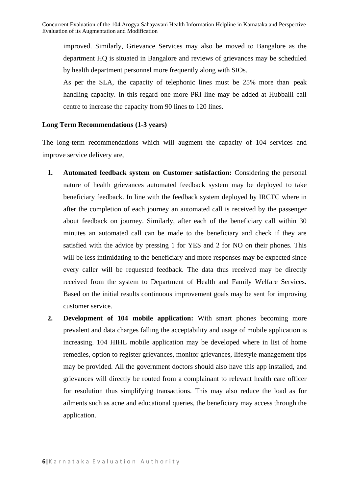improved. Similarly, Grievance Services may also be moved to Bangalore as the department HQ is situated in Bangalore and reviews of grievances may be scheduled by health department personnel more frequently along with SIOs.

As per the SLA, the capacity of telephonic lines must be 25% more than peak handling capacity. In this regard one more PRI line may be added at Hubballi call centre to increase the capacity from 90 lines to 120 lines.

## **Long Term Recommendations (1-3 years)**

The long-term recommendations which will augment the capacity of 104 services and improve service delivery are,

- **1. Automated feedback system on Customer satisfaction:** Considering the personal nature of health grievances automated feedback system may be deployed to take beneficiary feedback. In line with the feedback system deployed by IRCTC where in after the completion of each journey an automated call is received by the passenger about feedback on journey. Similarly, after each of the beneficiary call within 30 minutes an automated call can be made to the beneficiary and check if they are satisfied with the advice by pressing 1 for YES and 2 for NO on their phones. This will be less intimidating to the beneficiary and more responses may be expected since every caller will be requested feedback. The data thus received may be directly received from the system to Department of Health and Family Welfare Services. Based on the initial results continuous improvement goals may be sent for improving customer service.
- **2. Development of 104 mobile application:** With smart phones becoming more prevalent and data charges falling the acceptability and usage of mobile application is increasing. 104 HIHL mobile application may be developed where in list of home remedies, option to register grievances, monitor grievances, lifestyle management tips may be provided. All the government doctors should also have this app installed, and grievances will directly be routed from a complainant to relevant health care officer for resolution thus simplifying transactions. This may also reduce the load as for ailments such as acne and educational queries, the beneficiary may access through the application.